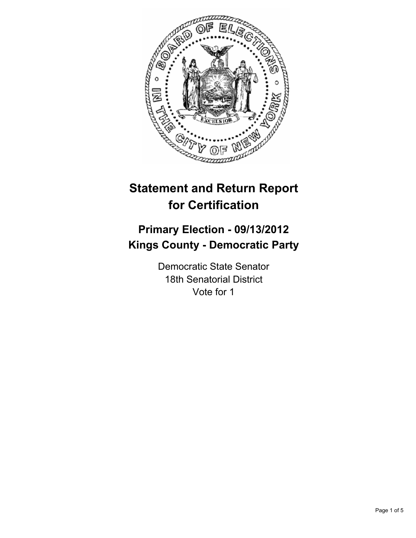

# **Statement and Return Report for Certification**

## **Primary Election - 09/13/2012 Kings County - Democratic Party**

Democratic State Senator 18th Senatorial District Vote for 1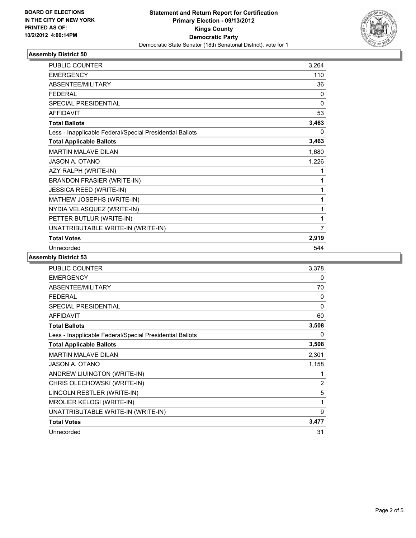

#### **Assembly District 50**

| <b>PUBLIC COUNTER</b>                                    | 3,264    |
|----------------------------------------------------------|----------|
| <b>EMERGENCY</b>                                         | 110      |
| ABSENTEE/MILITARY                                        | 36       |
| <b>FEDERAL</b>                                           | $\Omega$ |
| SPECIAL PRESIDENTIAL                                     | 0        |
| <b>AFFIDAVIT</b>                                         | 53       |
| <b>Total Ballots</b>                                     | 3,463    |
| Less - Inapplicable Federal/Special Presidential Ballots | 0        |
| <b>Total Applicable Ballots</b>                          | 3,463    |
| <b>MARTIN MALAVE DILAN</b>                               | 1,680    |
| <b>JASON A. OTANO</b>                                    | 1,226    |
| AZY RALPH (WRITE-IN)                                     | 1        |
| <b>BRANDON FRASIER (WRITE-IN)</b>                        | 1        |
| <b>JESSICA REED (WRITE-IN)</b>                           | 1        |
| MATHEW JOSEPHS (WRITE-IN)                                | 1        |
| NYDIA VELASQUEZ (WRITE-IN)                               | 1        |
| PETTER BUTLUR (WRITE-IN)                                 | 1        |
| UNATTRIBUTABLE WRITE-IN (WRITE-IN)                       | 7        |
| <b>Total Votes</b>                                       | 2,919    |
| Unrecorded                                               | 544      |

**Assembly District 53**

| <b>PUBLIC COUNTER</b>                                    | 3,378        |
|----------------------------------------------------------|--------------|
| <b>EMERGENCY</b>                                         | 0            |
| ABSENTEE/MILITARY                                        | 70           |
| <b>FEDERAL</b>                                           | 0            |
| SPECIAL PRESIDENTIAL                                     | $\mathbf{0}$ |
| <b>AFFIDAVIT</b>                                         | 60           |
| <b>Total Ballots</b>                                     | 3,508        |
| Less - Inapplicable Federal/Special Presidential Ballots | 0            |
| <b>Total Applicable Ballots</b>                          | 3,508        |
| <b>MARTIN MALAVE DILAN</b>                               | 2,301        |
| JASON A. OTANO                                           | 1,158        |
| ANDREW LIUINGTON (WRITE-IN)                              | 1            |
| CHRIS OLECHOWSKI (WRITE-IN)                              | 2            |
| LINCOLN RESTLER (WRITE-IN)                               | 5            |
| <b>MROLIER KELOGI (WRITE-IN)</b>                         | 1            |
| UNATTRIBUTABLE WRITE-IN (WRITE-IN)                       | 9            |
| <b>Total Votes</b>                                       | 3,477        |
| Unrecorded                                               | 31           |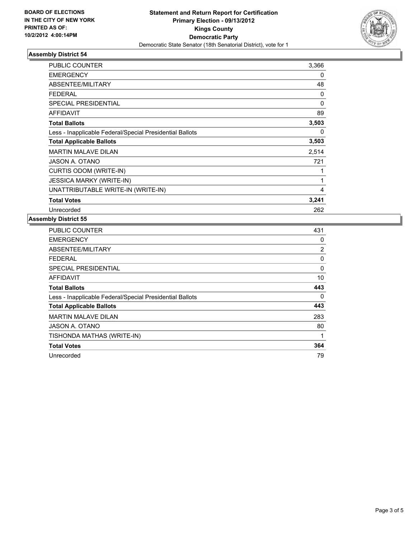

#### **Assembly District 54**

| <b>PUBLIC COUNTER</b>                                    | 3,366 |
|----------------------------------------------------------|-------|
| <b>EMERGENCY</b>                                         | 0     |
| ABSENTEE/MILITARY                                        | 48    |
| <b>FEDERAL</b>                                           | 0     |
| <b>SPECIAL PRESIDENTIAL</b>                              | 0     |
| <b>AFFIDAVIT</b>                                         | 89    |
| <b>Total Ballots</b>                                     | 3,503 |
| Less - Inapplicable Federal/Special Presidential Ballots | 0     |
| <b>Total Applicable Ballots</b>                          | 3,503 |
| <b>MARTIN MALAVE DILAN</b>                               | 2,514 |
| JASON A. OTANO                                           | 721   |
| CURTIS ODOM (WRITE-IN)                                   | 1     |
| <b>JESSICA MARKY (WRITE-IN)</b>                          | 1     |
| UNATTRIBUTABLE WRITE-IN (WRITE-IN)                       | 4     |
| <b>Total Votes</b>                                       | 3,241 |
| Unrecorded                                               | 262   |

#### **Assembly District 55**

| <b>PUBLIC COUNTER</b>                                    | 431 |
|----------------------------------------------------------|-----|
| <b>EMERGENCY</b>                                         | 0   |
| ABSENTEE/MILITARY                                        | 2   |
| FEDERAL                                                  | 0   |
| <b>SPECIAL PRESIDENTIAL</b>                              | 0   |
| <b>AFFIDAVIT</b>                                         | 10  |
| <b>Total Ballots</b>                                     | 443 |
| Less - Inapplicable Federal/Special Presidential Ballots | 0   |
| <b>Total Applicable Ballots</b>                          | 443 |
| <b>MARTIN MALAVE DILAN</b>                               | 283 |
| JASON A. OTANO                                           | 80  |
| TISHONDA MATHAS (WRITE-IN)                               | 1   |
| <b>Total Votes</b>                                       | 364 |
| Unrecorded                                               | 79  |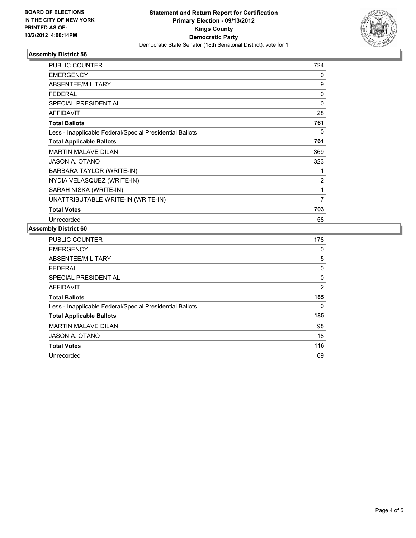

#### **Assembly District 56**

| <b>PUBLIC COUNTER</b>                                    | 724      |
|----------------------------------------------------------|----------|
| <b>EMERGENCY</b>                                         | 0        |
| ABSENTEE/MILITARY                                        | 9        |
| <b>FEDERAL</b>                                           | 0        |
| <b>SPECIAL PRESIDENTIAL</b>                              | $\Omega$ |
| <b>AFFIDAVIT</b>                                         | 28       |
| <b>Total Ballots</b>                                     | 761      |
| Less - Inapplicable Federal/Special Presidential Ballots | 0        |
| <b>Total Applicable Ballots</b>                          | 761      |
| <b>MARTIN MALAVE DILAN</b>                               | 369      |
| JASON A. OTANO                                           | 323      |
| BARBARA TAYLOR (WRITE-IN)                                |          |
| NYDIA VELASQUEZ (WRITE-IN)                               | 2        |
| SARAH NISKA (WRITE-IN)                                   | 1        |
| UNATTRIBUTABLE WRITE-IN (WRITE-IN)                       | 7        |
| <b>Total Votes</b>                                       | 703      |
| Unrecorded                                               | 58       |

### **Assembly District 60**

| <b>PUBLIC COUNTER</b>                                    | 178 |
|----------------------------------------------------------|-----|
| <b>EMERGENCY</b>                                         | 0   |
| ABSENTEE/MILITARY                                        | 5   |
| <b>FEDERAL</b>                                           | 0   |
| <b>SPECIAL PRESIDENTIAL</b>                              | 0   |
| <b>AFFIDAVIT</b>                                         | 2   |
| <b>Total Ballots</b>                                     | 185 |
| Less - Inapplicable Federal/Special Presidential Ballots | 0   |
| <b>Total Applicable Ballots</b>                          | 185 |
| <b>MARTIN MALAVE DILAN</b>                               | 98  |
| JASON A. OTANO                                           | 18  |
| <b>Total Votes</b>                                       | 116 |
| Unrecorded                                               | 69  |